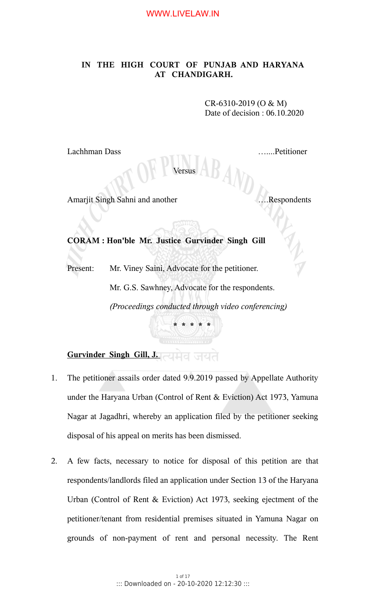# **IN THE HIGH COURT OF PUNJAB AND HARYANA AT CHANDIGARH.**

CR-6310-2019 (O & M) Date of decision : 06.10.2020

Lachhman Dass …....Petitioner

Versus

Amarjit Singh Sahni and another ….Respondents

**CORAM : Hon'ble Mr. Justice Gurvinder Singh Gill**

Present: Mr. Viney Saini, Advocate for the petitioner.

Mr. G.S. Sawhney, Advocate for the respondents.

**\* \* \* \* \***

*(Proceedings conducted through video conferencing)*

# **Gurvinder Singh Gill, J.**

- 1. The petitioner assails order dated 9.9.2019 passed by Appellate Authority under the Haryana Urban (Control of Rent & Eviction) Act 1973, Yamuna Nagar at Jagadhri, whereby an application filed by the petitioner seeking disposal of his appeal on merits has been dismissed.
- 2. A few facts, necessary to notice for disposal of this petition are that respondents/landlords filed an application under Section 13 of the Haryana Urban (Control of Rent & Eviction) Act 1973, seeking ejectment of the petitioner/tenant from residential premises situated in Yamuna Nagar on grounds of non-payment of rent and personal necessity. The Rent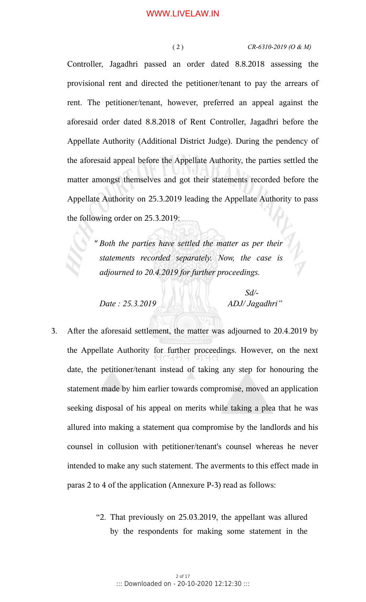#### ( 2 ) *CR-6310-2019 (O & M)*

Controller, Jagadhri passed an order dated 8.8.2018 assessing the provisional rent and directed the petitioner/tenant to pay the arrears of rent. The petitioner/tenant, however, preferred an appeal against the aforesaid order dated 8.8.2018 of Rent Controller, Jagadhri before the Appellate Authority (Additional District Judge). During the pendency of the aforesaid appeal before the Appellate Authority, the parties settled the matter amongst themselves and got their statements recorded before the Appellate Authority on 25.3.2019 leading the Appellate Authority to pass the following order on 25.3.2019:

> *" Both the parties have settled the matter as per their statements recorded separately. Now, the case is adjourned to 20.4.2019 for further proceedings.*

*Date : 25.3.2019 ADJ/ Jagadhri"*

 *Sd/-*

- 3. After the aforesaid settlement, the matter was adjourned to 20.4.2019 by the Appellate Authority for further proceedings. However, on the next date, the petitioner/tenant instead of taking any step for honouring the statement made by him earlier towards compromise, moved an application seeking disposal of his appeal on merits while taking a plea that he was allured into making a statement qua compromise by the landlords and his counsel in collusion with petitioner/tenant's counsel whereas he never intended to make any such statement. The averments to this effect made in paras 2 to 4 of the application (Annexure P-3) read as follows:
	- "2. That previously on 25.03.2019, the appellant was allured by the respondents for making some statement in the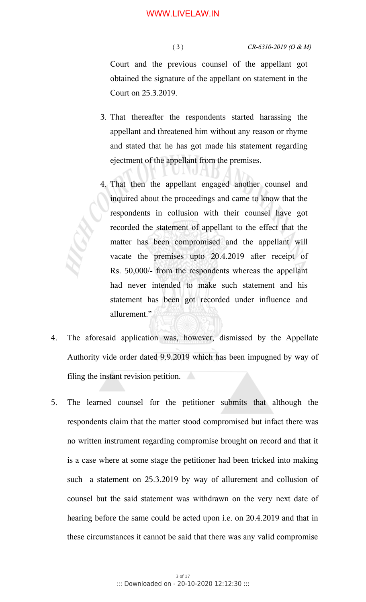### ( 3 ) *CR-6310-2019 (O & M)*

Court and the previous counsel of the appellant got obtained the signature of the appellant on statement in the Court on 25.3.2019.

- 3. That thereafter the respondents started harassing the appellant and threatened him without any reason or rhyme and stated that he has got made his statement regarding ejectment of the appellant from the premises.
- 4. That then the appellant engaged another counsel and inquired about the proceedings and came to know that the respondents in collusion with their counsel have got recorded the statement of appellant to the effect that the matter has been compromised and the appellant will vacate the premises upto 20.4.2019 after receipt of Rs. 50,000/- from the respondents whereas the appellant had never intended to make such statement and his statement has been got recorded under influence and allurement."
- 4. The aforesaid application was, however, dismissed by the Appellate Authority vide order dated 9.9.2019 which has been impugned by way of filing the instant revision petition.
- 5. The learned counsel for the petitioner submits that although the respondents claim that the matter stood compromised but infact there was no written instrument regarding compromise brought on record and that it is a case where at some stage the petitioner had been tricked into making such a statement on 25.3.2019 by way of allurement and collusion of counsel but the said statement was withdrawn on the very next date of hearing before the same could be acted upon i.e. on 20.4.2019 and that in these circumstances it cannot be said that there was any valid compromise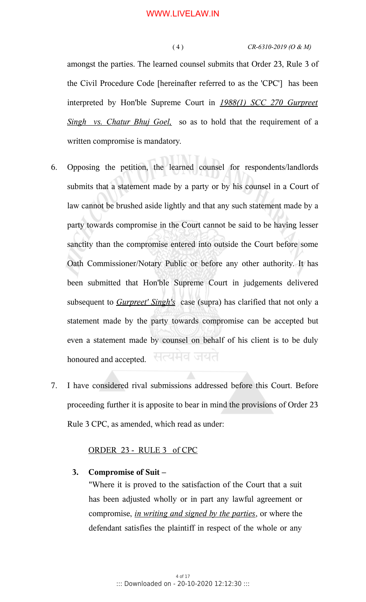#### ( 4 ) *CR-6310-2019 (O & M)*

amongst the parties. The learned counsel submits that Order 23, Rule 3 of the Civil Procedure Code [hereinafter referred to as the 'CPC'] has been interpreted by Hon'ble Supreme Court in *1988(1) SCC 270 Gurpreet Singh vs. Chatur Bhuj Goel,* so as to hold that the requirement of a written compromise is mandatory.

- 6. Opposing the petition, the learned counsel for respondents/landlords submits that a statement made by a party or by his counsel in a Court of law cannot be brushed aside lightly and that any such statement made by a party towards compromise in the Court cannot be said to be having lesser sanctity than the compromise entered into outside the Court before some Oath Commissioner/Notary Public or before any other authority. It has been submitted that Hon'ble Supreme Court in judgements delivered subsequent to *Gurpreet' Singh's* case (supra) has clarified that not only a statement made by the party towards compromise can be accepted but even a statement made by counsel on behalf of his client is to be duly सत्यमव जयत honoured and accepted.
- 7. I have considered rival submissions addressed before this Court. Before proceeding further it is apposite to bear in mind the provisions of Order 23 Rule 3 CPC, as amended, which read as under:

# ORDER 23 - RULE 3 of CPC

## **3. Compromise of Suit –**

"Where it is proved to the satisfaction of the Court that a suit has been adjusted wholly or in part any lawful agreement or compromise, *in writing and signed by the parties*, or where the defendant satisfies the plaintiff in respect of the whole or any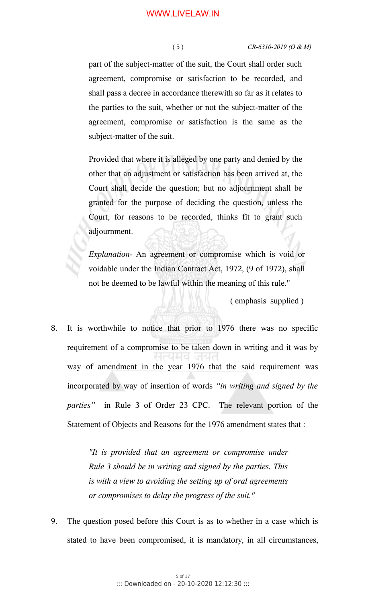part of the subject-matter of the suit, the Court shall order such agreement, compromise or satisfaction to be recorded, and shall pass a decree in accordance therewith so far as it relates to the parties to the suit, whether or not the subject-matter of the agreement, compromise or satisfaction is the same as the subject-matter of the suit.

Provided that where it is alleged by one party and denied by the other that an adjustment or satisfaction has been arrived at, the Court shall decide the question; but no adjournment shall be granted for the purpose of deciding the question, unless the Court, for reasons to be recorded, thinks fit to grant such adjournment.

*Explanation*- An agreement or compromise which is void or voidable under the Indian Contract Act, 1972, (9 of 1972), shall not be deemed to be lawful within the meaning of this rule."

( emphasis supplied )

8. It is worthwhile to notice that prior to 1976 there was no specific requirement of a compromise to be taken down in writing and it was by way of amendment in the year 1976 that the said requirement was incorporated by way of insertion of words *"in writing and signed by the parties"* in Rule 3 of Order 23 CPC. The relevant portion of the Statement of Objects and Reasons for the 1976 amendment states that :

> *"It is provided that an agreement or compromise under Rule 3 should be in writing and signed by the parties. This is with a view to avoiding the setting up of oral agreements or compromises to delay the progress of the suit."*

9. The question posed before this Court is as to whether in a case which is stated to have been compromised, it is mandatory, in all circumstances,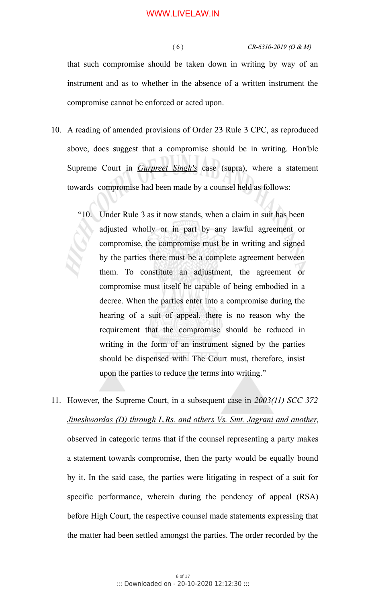( 6 ) *CR-6310-2019 (O & M)*

that such compromise should be taken down in writing by way of an instrument and as to whether in the absence of a written instrument the compromise cannot be enforced or acted upon.

- 10. A reading of amended provisions of Order 23 Rule 3 CPC, as reproduced above, does suggest that a compromise should be in writing. Hon'ble Supreme Court in *Gurpreet Singh's* case (supra), where a statement towards compromise had been made by a counsel held as follows:
	- "10. Under Rule 3 as it now stands, when a claim in suit has been adjusted wholly or in part by any lawful agreement or compromise, the compromise must be in writing and signed by the parties there must be a complete agreement between them. To constitute an adjustment, the agreement or compromise must itself be capable of being embodied in a decree. When the parties enter into a compromise during the hearing of a suit of appeal, there is no reason why the requirement that the compromise should be reduced in writing in the form of an instrument signed by the parties should be dispensed with. The Court must, therefore, insist upon the parties to reduce the terms into writing."
- 11. However, the Supreme Court, in a subsequent case in *2003(11) SCC 372 Jineshwardas (D) through L.Rs. and others Vs. Smt. Jagrani and another*, observed in categoric terms that if the counsel representing a party makes a statement towards compromise, then the party would be equally bound by it. In the said case, the parties were litigating in respect of a suit for specific performance, wherein during the pendency of appeal (RSA) before High Court, the respective counsel made statements expressing that the matter had been settled amongst the parties. The order recorded by the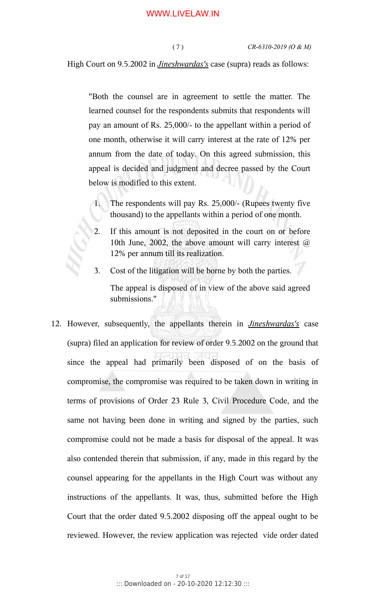High Court on 9.5.2002 in *Jineshwardas's* case (supra) reads as follows:

"Both the counsel are in agreement to settle the matter. The learned counsel for the respondents submits that respondents will pay an amount of Rs. 25,000/- to the appellant within a period of one month, otherwise it will carry interest at the rate of 12% per annum from the date of today. On this agreed submission, this appeal is decided and judgment and decree passed by the Court below is modified to this extent.

- 1. The respondents will pay Rs. 25,000/- (Rupees twenty five thousand) to the appellants within a period of one month.
- 2. If this amount is not deposited in the court on or before 10th June, 2002, the above amount will carry interest  $\omega$ 12% per annum till its realization.
- 3. Cost of the litigation will be borne by both the parties. The appeal is disposed of in view of the above said agreed submissions."
- 12. However, subsequently, the appellants therein in *Jineshwardas's* case (supra) filed an application for review of order 9.5.2002 on the ground that since the appeal had primarily been disposed of on the basis of compromise, the compromise was required to be taken down in writing in terms of provisions of Order 23 Rule 3, Civil Procedure Code, and the same not having been done in writing and signed by the parties, such compromise could not be made a basis for disposal of the appeal. It was also contended therein that submission, if any, made in this regard by the counsel appearing for the appellants in the High Court was without any instructions of the appellants. It was, thus, submitted before the High Court that the order dated 9.5.2002 disposing off the appeal ought to be reviewed. However, the review application was rejected vide order dated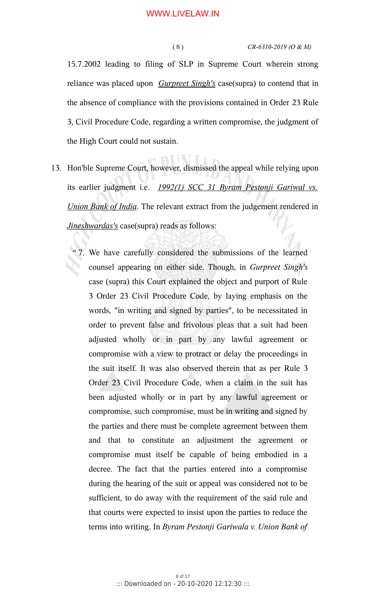( 8 ) *CR-6310-2019 (O & M)*

15.7.2002 leading to filing of SLP in Supreme Court wherein strong reliance was placed upon *Gurpreet Singh's* case(supra) to contend that in the absence of compliance with the provisions contained in Order 23 Rule 3, Civil Procedure Code, regarding a written compromise, the judgment of the High Court could not sustain.

- 13. Hon'ble Supreme Court, however, dismissed the appeal while relying upon its earlier judgment i.e. 1992(1) SCC 31 Byram Peston ji Gariwal vs. *Union Bank of India*. The relevant extract from the judgement rendered in *Jineshwardas's* case(supra) reads as follows:
	- " 7. We have carefully considered the submissions of the learned counsel appearing on either side. Though, in *Gurpreet Singh's* case (supra) this Court explained the object and purport of Rule 3 Order 23 Civil Procedure Code, by laying emphasis on the words, "in writing and signed by parties", to be necessitated in order to prevent false and frivolous pleas that a suit had been adjusted wholly or in part by any lawful agreement or compromise with a view to protract or delay the proceedings in the suit itself. It was also observed therein that as per Rule 3 Order 23 Civil Procedure Code, when a claim in the suit has been adjusted wholly or in part by any lawful agreement or compromise, such compromise, must be in writing and signed by the parties and there must be complete agreement between them and that to constitute an adjustment the agreement or compromise must itself be capable of being embodied in a decree. The fact that the parties entered into a compromise during the hearing of the suit or appeal was considered not to be sufficient, to do away with the requirement of the said rule and that courts were expected to insist upon the parties to reduce the terms into writing. In *Byram Pestonji Gariwala v. Union Bank of*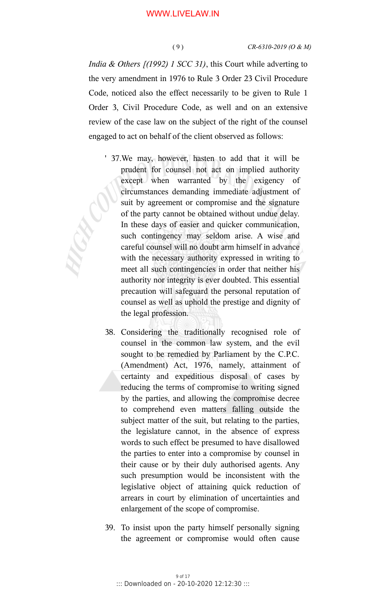*India & Others [(1992) 1 SCC 31)*, this Court while adverting to the very amendment in 1976 to Rule 3 Order 23 Civil Procedure Code, noticed also the effect necessarily to be given to Rule 1 Order 3, Civil Procedure Code, as well and on an extensive review of the case law on the subject of the right of the counsel engaged to act on behalf of the client observed as follows:

- ' 37.We may, however, hasten to add that it will be prudent for counsel not act on implied authority except when warranted by the exigency of circumstances demanding immediate adjustment of suit by agreement or compromise and the signature of the party cannot be obtained without undue delay. In these days of easier and quicker communication, such contingency may seldom arise. A wise and careful counsel will no doubt arm himself in advance with the necessary authority expressed in writing to meet all such contingencies in order that neither his authority nor integrity is ever doubted. This essential precaution will safeguard the personal reputation of counsel as well as uphold the prestige and dignity of the legal profession.
- 38. Considering the traditionally recognised role of counsel in the common law system, and the evil sought to be remedied by Parliament by the C.P.C. (Amendment) Act, 1976, namely, attainment of certainty and expeditious disposal of cases by reducing the terms of compromise to writing signed by the parties, and allowing the compromise decree to comprehend even matters falling outside the subject matter of the suit, but relating to the parties, the legislature cannot, in the absence of express words to such effect be presumed to have disallowed the parties to enter into a compromise by counsel in their cause or by their duly authorised agents. Any such presumption would be inconsistent with the legislative object of attaining quick reduction of arrears in court by elimination of uncertainties and enlargement of the scope of compromise.
- 39. To insist upon the party himself personally signing the agreement or compromise would often cause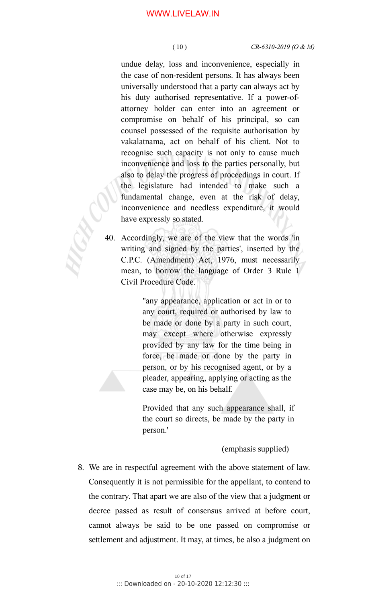undue delay, loss and inconvenience, especially in the case of non-resident persons. It has always been universally understood that a party can always act by his duty authorised representative. If a power-ofattorney holder can enter into an agreement or compromise on behalf of his principal, so can counsel possessed of the requisite authorisation by vakalatnama, act on behalf of his client. Not to recognise such capacity is not only to cause much inconvenience and loss to the parties personally, but also to delay the progress of proceedings in court. If the legislature had intended to make such a fundamental change, even at the risk of delay, inconvenience and needless expenditure, it would have expressly so stated.

40. Accordingly, we are of the view that the words 'in writing and signed by the parties', inserted by the C.P.C. (Amendment) Act, 1976, must necessarily mean, to borrow the language of Order 3 Rule 1 Civil Procedure Code.

> "any appearance, application or act in or to any court, required or authorised by law to be made or done by a party in such court, may except where otherwise expressly provided by any law for the time being in force, be made or done by the party in person, or by his recognised agent, or by a pleader, appearing, applying or acting as the case may be, on his behalf.

Provided that any such appearance shall, if the court so directs, be made by the party in person.'

(emphasis supplied)

8. We are in respectful agreement with the above statement of law. Consequently it is not permissible for the appellant, to contend to the contrary. That apart we are also of the view that a judgment or decree passed as result of consensus arrived at before court, cannot always be said to be one passed on compromise or settlement and adjustment. It may, at times, be also a judgment on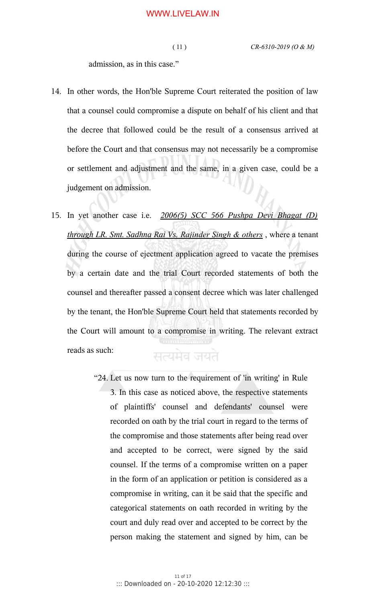admission, as in this case."

- 14. In other words, the Hon'ble Supreme Court reiterated the position of law that a counsel could compromise a dispute on behalf of his client and that the decree that followed could be the result of a consensus arrived at before the Court and that consensus may not necessarily be a compromise or settlement and adjustment and the same, in a given case, could be a judgement on admission.
- 15. In yet another case i.e. *2006(5) SCC 566 Pushpa Devi Bhagat (D) through LR. Smt. Sadhna Rai Vs. Rajinder Singh & others* , where a tenant during the course of ejectment application agreed to vacate the premises by a certain date and the trial Court recorded statements of both the counsel and thereafter passed a consent decree which was later challenged by the tenant, the Hon'ble Supreme Court held that statements recorded by the Court will amount to a compromise in writing. The relevant extract reads as such: सत्यमेव जयते
	- "24. Let us now turn to the requirement of 'in writing' in Rule 3. In this case as noticed above, the respective statements of plaintiffs' counsel and defendants' counsel were recorded on oath by the trial court in regard to the terms of the compromise and those statements after being read over and accepted to be correct, were signed by the said counsel. If the terms of a compromise written on a paper in the form of an application or petition is considered as a compromise in writing, can it be said that the specific and categorical statements on oath recorded in writing by the court and duly read over and accepted to be correct by the person making the statement and signed by him, can be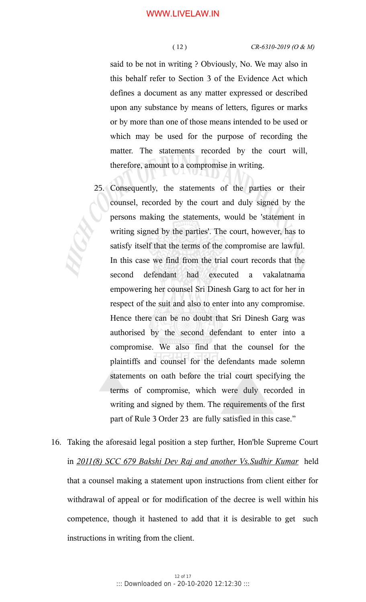#### ( 12 ) *CR-6310-2019 (O & M)*

said to be not in writing ? Obviously, No. We may also in this behalf refer to Section 3 of the Evidence Act which defines a document as any matter expressed or described upon any substance by means of letters, figures or marks or by more than one of those means intended to be used or which may be used for the purpose of recording the matter. The statements recorded by the court will, therefore, amount to a compromise in writing.

- 25. Consequently, the statements of the parties or their counsel, recorded by the court and duly signed by the persons making the statements, would be 'statement in writing signed by the parties'. The court, however, has to satisfy itself that the terms of the compromise are lawful. In this case we find from the trial court records that the second defendant had executed a vakalatnama empowering her counsel Sri Dinesh Garg to act for her in respect of the suit and also to enter into any compromise. Hence there can be no doubt that Sri Dinesh Garg was authorised by the second defendant to enter into a compromise. We also find that the counsel for the plaintiffs and counsel for the defendants made solemn statements on oath before the trial court specifying the terms of compromise, which were duly recorded in writing and signed by them. The requirements of the first part of Rule 3 Order 23 are fully satisfied in this case."
- 16. Taking the aforesaid legal position a step further, Hon'ble Supreme Court in *2011(8) SCC 679 Bakshi Dev Raj and another Vs.Sudhir Kumar* held that a counsel making a statement upon instructions from client either for withdrawal of appeal or for modification of the decree is well within his competence, though it hastened to add that it is desirable to get such instructions in writing from the client.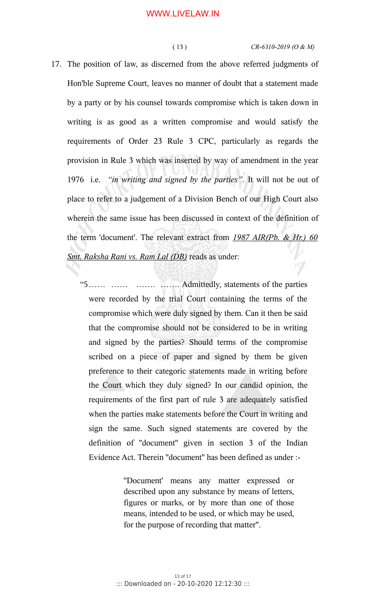#### ( 13 ) *CR-6310-2019 (O & M)*

- 17. The position of law, as discerned from the above referred judgments of Hon'ble Supreme Court, leaves no manner of doubt that a statement made by a party or by his counsel towards compromise which is taken down in writing is as good as a written compromise and would satisfy the requirements of Order 23 Rule 3 CPC, particularly as regards the provision in Rule 3 which was inserted by way of amendment in the year 1976 i.e. *"in writing and signed by the parties"*. It will not be out of place to refer to a judgement of a Division Bench of our High Court also wherein the same issue has been discussed in context of the definition of the term 'document'. The relevant extract from *1987 AIR(Pb. & Hr.) 60 Smt. Raksha Rani vs. Ram Lal (DB)* reads as under:
	- "5…… …… ……. ……. Admittedly, statements of the parties were recorded by the trial Court containing the terms of the compromise which were duly signed by them. Can it then be said that the compromise should not be considered to be in writing and signed by the parties? Should terms of the compromise scribed on a piece of paper and signed by them be given preference to their categoric statements made in writing before the Court which they duly signed? In our candid opinion, the requirements of the first part of rule 3 are adequately satisfied when the parties make statements before the Court in writing and sign the same. Such signed statements are covered by the definition of ''document'' given in section 3 of the Indian Evidence Act. Therein ''document'' has been defined as under :-

''Document' means any matter expressed or described upon any substance by means of letters, figures or marks, or by more than one of those means, intended to be used, or which may be used, for the purpose of recording that matter''.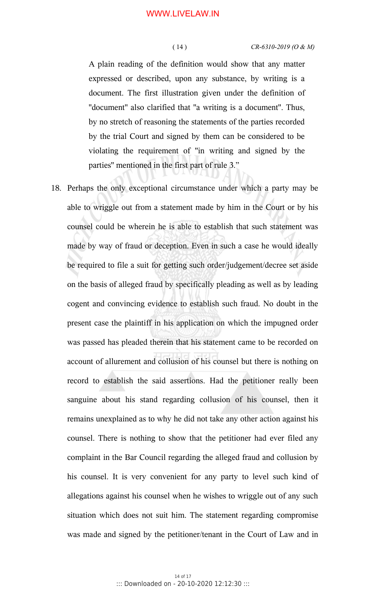A plain reading of the definition would show that any matter expressed or described, upon any substance, by writing is a document. The first illustration given under the definition of ''document'' also clarified that ''a writing is a document''. Thus, by no stretch of reasoning the statements of the parties recorded by the trial Court and signed by them can be considered to be violating the requirement of ''in writing and signed by the parties'' mentioned in the first part of rule 3."

18. Perhaps the only exceptional circumstance under which a party may be able to wriggle out from a statement made by him in the Court or by his counsel could be wherein he is able to establish that such statement was made by way of fraud or deception. Even in such a case he would ideally be required to file a suit for getting such order/judgement/decree set aside on the basis of alleged fraud by specifically pleading as well as by leading cogent and convincing evidence to establish such fraud. No doubt in the present case the plaintiff in his application on which the impugned order was passed has pleaded therein that his statement came to be recorded on account of allurement and collusion of his counsel but there is nothing on record to establish the said assertions. Had the petitioner really been sanguine about his stand regarding collusion of his counsel, then it remains unexplained as to why he did not take any other action against his counsel. There is nothing to show that the petitioner had ever filed any complaint in the Bar Council regarding the alleged fraud and collusion by his counsel. It is very convenient for any party to level such kind of allegations against his counsel when he wishes to wriggle out of any such situation which does not suit him. The statement regarding compromise was made and signed by the petitioner/tenant in the Court of Law and in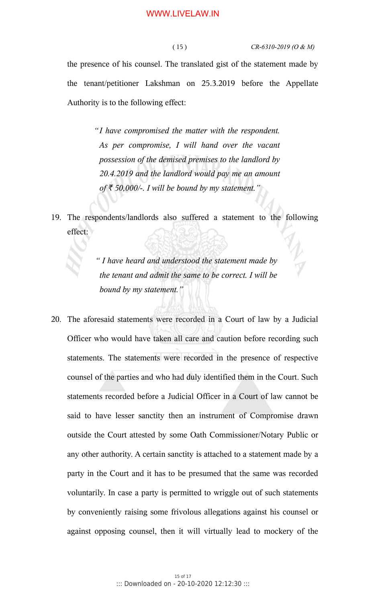the presence of his counsel. The translated gist of the statement made by the tenant/petitioner Lakshman on 25.3.2019 before the Appellate Authority is to the following effect:

> *"I have compromised the matter with the respondent. As per compromise, I will hand over the vacant possession of the demised premises to the landlord by 20.4.2019 and the landlord would pay me an amount*  $of \xi$  50,000/-. I will be bound by my statement."

19. The respondents/landlords also suffered a statement to the following effect:

> *" I have heard and understood the statement made by the tenant and admit the same to be correct. I will be bound by my statement."*

20. The aforesaid statements were recorded in a Court of law by a Judicial Officer who would have taken all care and caution before recording such statements. The statements were recorded in the presence of respective counsel of the parties and who had duly identified them in the Court. Such statements recorded before a Judicial Officer in a Court of law cannot be said to have lesser sanctity then an instrument of Compromise drawn outside the Court attested by some Oath Commissioner/Notary Public or any other authority. A certain sanctity is attached to a statement made by a party in the Court and it has to be presumed that the same was recorded voluntarily. In case a party is permitted to wriggle out of such statements by conveniently raising some frivolous allegations against his counsel or against opposing counsel, then it will virtually lead to mockery of the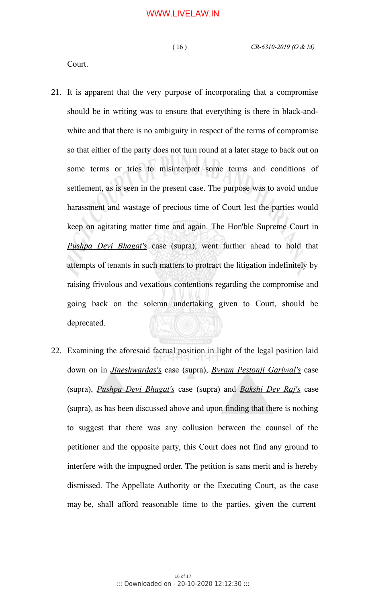Court.

- 21. It is apparent that the very purpose of incorporating that a compromise should be in writing was to ensure that everything is there in black-andwhite and that there is no ambiguity in respect of the terms of compromise so that either of the party does not turn round at a later stage to back out on some terms or tries to misinterpret some terms and conditions of settlement, as is seen in the present case. The purpose was to avoid undue harassment and wastage of precious time of Court lest the parties would keep on agitating matter time and again. The Hon'ble Supreme Court in *Pushpa Devi Bhagat's* case (supra), went further ahead to hold that attempts of tenants in such matters to protract the litigation indefinitely by raising frivolous and vexatious contentions regarding the compromise and going back on the solemn undertaking given to Court, should be deprecated.
- 22. Examining the aforesaid factual position in light of the legal position laid down on in *Jineshwardas's* case (supra), *Byram Pestonji Gariwal's* case (supra), *Pushpa Devi Bhagat's* case (supra) and *Bakshi Dev Raj's* case (supra), as has been discussed above and upon finding that there is nothing to suggest that there was any collusion between the counsel of the petitioner and the opposite party, this Court does not find any ground to interfere with the impugned order. The petition is sans merit and is hereby dismissed. The Appellate Authority or the Executing Court, as the case may be, shall afford reasonable time to the parties, given the current